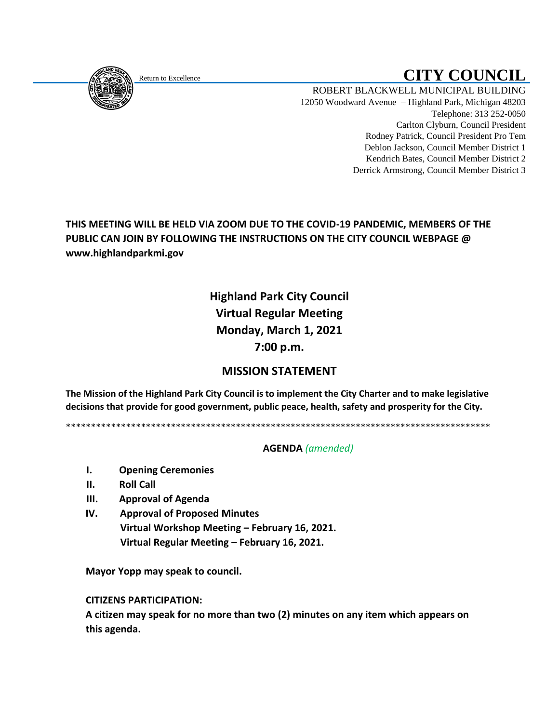<span id="page-0-0"></span>

# Return to Excellence **CITY COUNCIL**

ROBERT BLACKWELL MUNICIPAL BUILDING 12050 Woodward Avenue – Highland Park, Michigan 48203 Telephone: 313 252-0050 Carlton Clyburn, Council President Rodney Patrick, Council President Pro Tem Deblon Jackson, Council Member District 1 Kendrich Bates, Council Member District 2 Derrick Armstrong, Council Member District 3

**THIS MEETING WILL BE HELD VIA ZOOM DUE TO THE COVID-19 PANDEMIC, MEMBERS OF THE PUBLIC CAN JOIN BY FOLLOWING THE INSTRUCTIONS ON THE CITY COUNCIL WEBPAGE @ www.highlandparkmi.gov**

## **Highland Park City Council Virtual Regular Meeting Monday, March 1, 2021 7:00 p.m.**

## **MISSION STATEMENT**

**The Mission of the Highland Park City Council is to implement the City Charter and to make legislative decisions that provide for good government, public peace, health, safety and prosperity for the City.**

\*\*\*\*\*\*\*\*\*\*\*\*\*\*\*\*\*\*\*\*\*\*\*\*\*\*\*\*\*\*\*\*\*\*\*\*\*\*\*\*\*\*\*\*\*\*\*\*\*\*\*\*\*\*\*\*\*\*\*\*\*\*\*\*\*\*\*\*\*\*\*\*\*\*\*\*\*\*\*\*\*\*\*\*\*

#### **AGENDA** *(amended)*

- **I. Opening Ceremonies**
- **II. Roll Call**
- **III. Approval of Agenda**
- **IV. Approval of Proposed Minutes Virtual Workshop Meeting – February 16, 2021. Virtual Regular Meeting – February 16, 2021.**

 **Mayor Yopp may speak to council.** 

 **CITIZENS PARTICIPATION:**

 **A citizen may speak for no more than two (2) minutes on any item which appears on this agenda.**